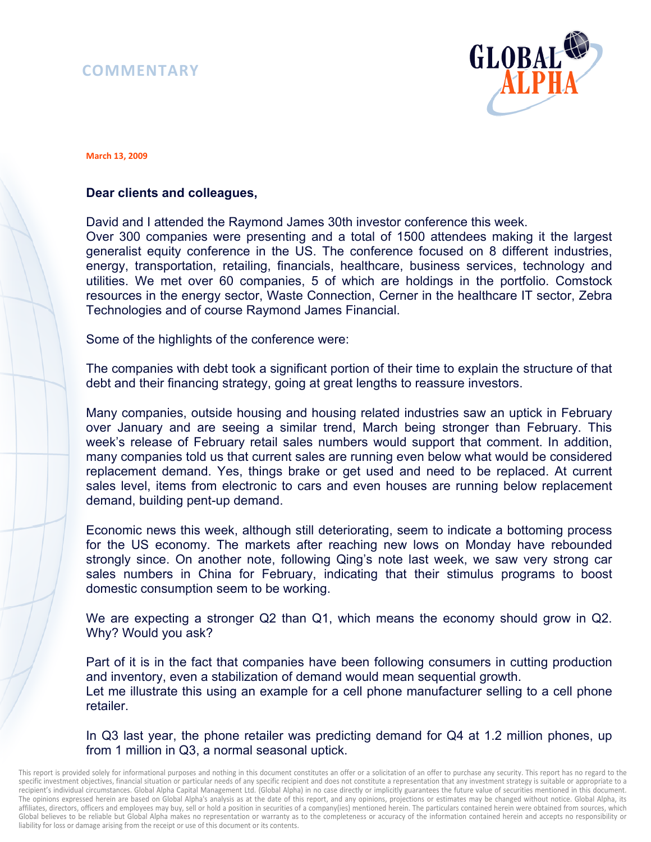# **COMMENTARY**



#### **March 13, 2009**

# **Dear clients and colleagues,**

David and I attended the Raymond James 30th investor conference this week.

Over 300 companies were presenting and a total of 1500 attendees making it the largest generalist equity conference in the US. The conference focused on 8 different industries, energy, transportation, retailing, financials, healthcare, business services, technology and utilities. We met over 60 companies, 5 of which are holdings in the portfolio. Comstock resources in the energy sector, Waste Connection, Cerner in the healthcare IT sector, Zebra Technologies and of course Raymond James Financial.

Some of the highlights of the conference were:

The companies with debt took a significant portion of their time to explain the structure of that debt and their financing strategy, going at great lengths to reassure investors.

Many companies, outside housing and housing related industries saw an uptick in February over January and are seeing a similar trend, March being stronger than February. This week's release of February retail sales numbers would support that comment. In addition, many companies told us that current sales are running even below what would be considered replacement demand. Yes, things brake or get used and need to be replaced. At current sales level, items from electronic to cars and even houses are running below replacement demand, building pent-up demand.

Economic news this week, although still deteriorating, seem to indicate a bottoming process for the US economy. The markets after reaching new lows on Monday have rebounded strongly since. On another note, following Qing's note last week, we saw very strong car sales numbers in China for February, indicating that their stimulus programs to boost domestic consumption seem to be working.

We are expecting a stronger Q2 than Q1, which means the economy should grow in Q2. Why? Would you ask?

Part of it is in the fact that companies have been following consumers in cutting production and inventory, even a stabilization of demand would mean sequential growth. Let me illustrate this using an example for a cell phone manufacturer selling to a cell phone retailer.

In Q3 last year, the phone retailer was predicting demand for Q4 at 1.2 million phones, up from 1 million in Q3, a normal seasonal uptick.

This report is provided solely for informational purposes and nothing in this document constitutes an offer or a solicitation of an offer to purchase any security. This report has no regard to the specific investment objectives, financial situation or particular needs of any specific recipient and does not constitute a representation that any investment strategy is suitable or appropriate to a recipient's individual circumstances. Global Alpha Capital Management Ltd. (Global Alpha) in no case directly or implicitly guarantees the future value of securities mentioned in this document. The opinions expressed herein are based on Global Alpha's analysis as at the date of this report, and any opinions, projections or estimates may be changed without notice. Global Alpha, its affiliates, directors, officers and employees may buy, sell or hold a position in securities of a company(ies) mentioned herein. The particulars contained herein were obtained from sources, which Global believes to be reliable but Global Alpha makes no representation or warranty as to the completeness or accuracy of the information contained herein and accepts no responsibility or liability for loss or damage arising from the receipt or use of this document or its contents.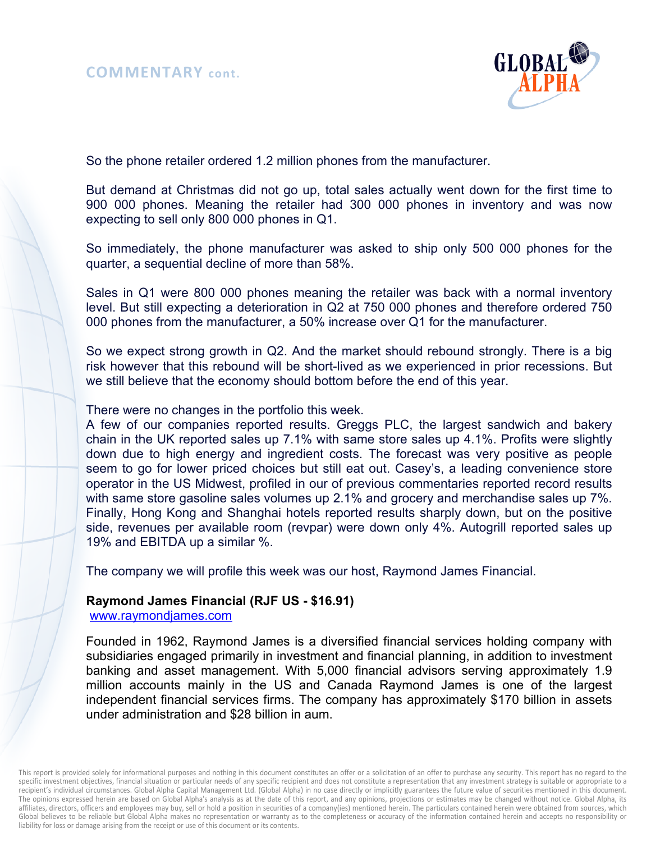

So the phone retailer ordered 1.2 million phones from the manufacturer.

But demand at Christmas did not go up, total sales actually went down for the first time to 900 000 phones. Meaning the retailer had 300 000 phones in inventory and was now expecting to sell only 800 000 phones in Q1.

So immediately, the phone manufacturer was asked to ship only 500 000 phones for the quarter, a sequential decline of more than 58%.

Sales in Q1 were 800 000 phones meaning the retailer was back with a normal inventory level. But still expecting a deterioration in Q2 at 750 000 phones and therefore ordered 750 000 phones from the manufacturer, a 50% increase over Q1 for the manufacturer.

So we expect strong growth in Q2. And the market should rebound strongly. There is a big risk however that this rebound will be short-lived as we experienced in prior recessions. But we still believe that the economy should bottom before the end of this year.

There were no changes in the portfolio this week.

A few of our companies reported results. Greggs PLC, the largest sandwich and bakery chain in the UK reported sales up 7.1% with same store sales up 4.1%. Profits were slightly down due to high energy and ingredient costs. The forecast was very positive as people seem to go for lower priced choices but still eat out. Casey's, a leading convenience store operator in the US Midwest, profiled in our of previous commentaries reported record results with same store gasoline sales volumes up 2.1% and grocery and merchandise sales up 7%. Finally, Hong Kong and Shanghai hotels reported results sharply down, but on the positive side, revenues per available room (revpar) were down only 4%. Autogrill reported sales up 19% and EBITDA up a similar %.

The company we will profile this week was our host, Raymond James Financial.

# **Raymond James Financial (RJF US - \$16.91)**

www.raymondjames.com

Founded in 1962, Raymond James is a diversified financial services holding company with subsidiaries engaged primarily in investment and financial planning, in addition to investment banking and asset management. With 5,000 financial advisors serving approximately 1.9 million accounts mainly in the US and Canada Raymond James is one of the largest independent financial services firms. The company has approximately \$170 billion in assets under administration and \$28 billion in aum.

This report is provided solely for informational purposes and nothing in this document constitutes an offer or a solicitation of an offer to purchase any security. This report has no regard to the specific investment objectives, financial situation or particular needs of any specific recipient and does not constitute a representation that any investment strategy is suitable or appropriate to a recipient's individual circumstances. Global Alpha Capital Management Ltd. (Global Alpha) in no case directly or implicitly guarantees the future value of securities mentioned in this document. The opinions expressed herein are based on Global Alpha's analysis as at the date of this report, and any opinions, projections or estimates may be changed without notice. Global Alpha, its affiliates, directors, officers and employees may buy, sell or hold a position in securities of a company(ies) mentioned herein. The particulars contained herein were obtained from sources, which Global believes to be reliable but Global Alpha makes no representation or warranty as to the completeness or accuracy of the information contained herein and accepts no responsibility or liability for loss or damage arising from the receipt or use of this document or its contents.